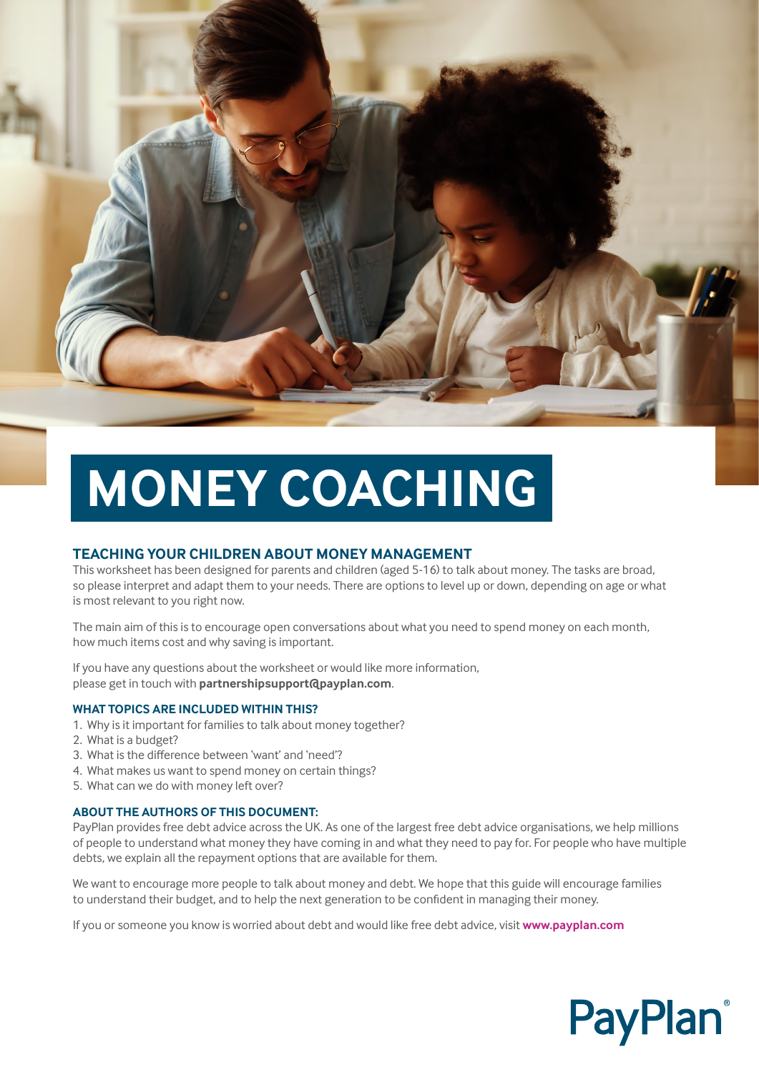

## **MONEY COACHING**

#### **TEACHING YOUR CHILDREN ABOUT MONEY MANAGEMENT**

This worksheet has been designed for parents and children (aged 5-16) to talk about money. The tasks are broad, so please interpret and adapt them to your needs. There are options to level up or down, depending on age or what is most relevant to you right now.

The main aim of this is to encourage open conversations about what you need to spend money on each month, how much items cost and why saving is important.

If you have any questions about the worksheet or would like more information, please get in touch with **partnershipsupport@payplan.com**.

#### **WHAT TOPICS ARE INCLUDED WITHIN THIS?**

- 1. Why is it important for families to talk about money together?
- 2. What is a budget?
- 3. What is the difference between 'want' and 'need'?
- 4. What makes us want to spend money on certain things?
- 5. What can we do with money left over?

#### **ABOUT THE AUTHORS OF THIS DOCUMENT:**

PayPlan provides free debt advice across the UK. As one of the largest free debt advice organisations, we help millions of people to understand what money they have coming in and what they need to pay for. For people who have multiple debts, we explain all the repayment options that are available for them.

We want to encourage more people to talk about money and debt. We hope that this guide will encourage families to understand their budget, and to help the next generation to be confident in managing their money.

If you or someone you know is worried about debt and would like free debt advice, visit **www.payplan.com**

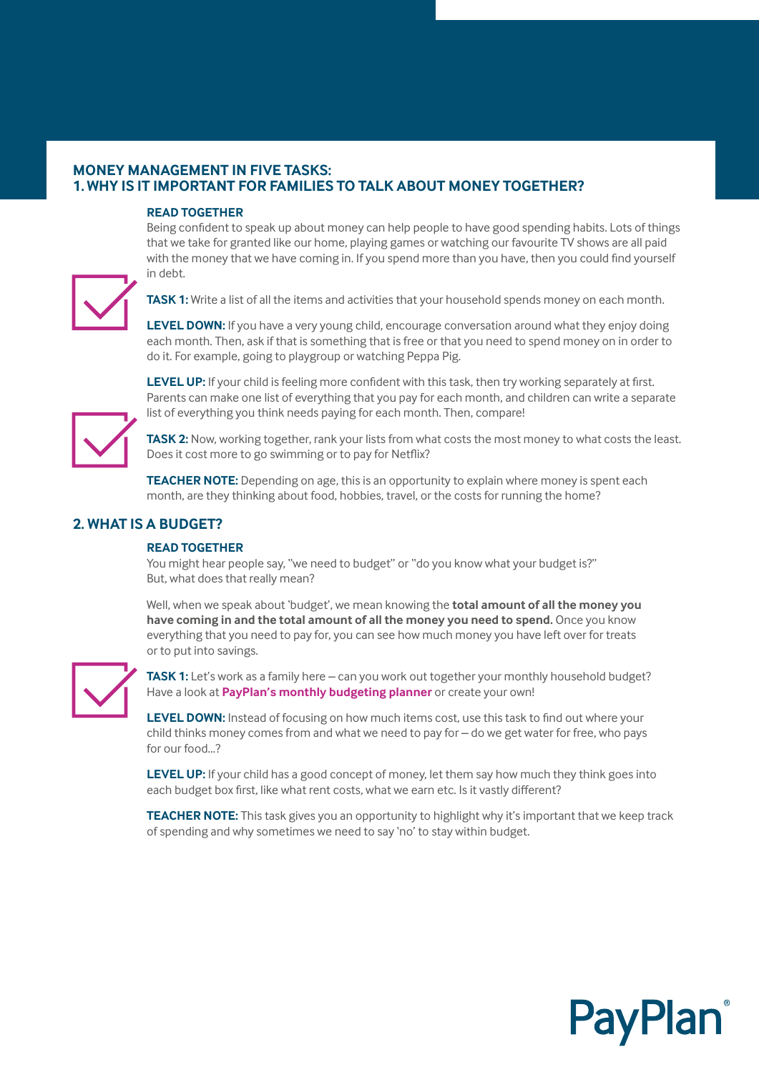#### **MONEY MANAGEMENT IN FIVE TASKS: 1.WHY IS IT IMPORTANT FOR FAMILIES TO TALK ABOUT MONEY TOGETHER?**

#### **READ TOGETHER**

Being confident to speak up about money can help people to have good spending habits. Lots of things that we take for granted like our home, playing games or watching our favourite TV shows are all paid with the money that we have coming in. If you spend more than you have, then you could find yourself in debt.



**TASK 1:** Write a list of all the items and activities that your household spends money on each month.

**LEVEL DOWN:** If you have a very young child, encourage conversation around what they enjoy doing each month. Then, ask if that is something that is free or that you need to spend money on in order to do it. For example, going to playgroup or watching Peppa Pig.

LEVEL UP: If your child is feeling more confident with this task, then try working separately at first. Parents can make one list of everything that you pay for each month, and children can write a separate list of everything you think needs paying for each month. Then, compare!



**TASK 2:** Now, working together, rank your lists from what costs the most money to what costs the least. Does it cost more to go swimming or to pay for Netflix?

**TEACHER NOTE:** Depending on age, this is an opportunity to explain where money is spent each month, are they thinking about food, hobbies, travel, or the costs for running the home?

#### **2. WHAT IS A BUDGET?**

#### **READ TOGETHER**

You might hear people say, "we need to budget" or "do you know what your budget is?" But, what does that really mean?

Well, when we speak about 'budget', we mean knowing the **total amount of all the money you have coming in and the total amount of all the money you need to spend.** Once you know everything that you need to pay for, you can see how much money you have left over for treats or to put into savings.



**TASK 1:** Let's work as a family here – can you work out together your monthly household budget? Have a look at **[PayPlan's monthly budgeting planner](https://www.payplan.com/wp-content/uploads/2019/03/budgeting-planner-and-guide.pdf)** or create your own!

**LEVEL DOWN:** Instead of focusing on how much items cost, use this task to find out where your child thinks money comes from and what we need to pay for – do we get water for free, who pays for our food...?

**LEVEL UP:** If your child has a good concept of money, let them say how much they think goes into each budget box first, like what rent costs, what we earn etc. Is it vastly different?

**TEACHER NOTE:** This task gives you an opportunity to highlight why it's important that we keep track of spending and why sometimes we need to say 'no' to stay within budget.

**PayPla**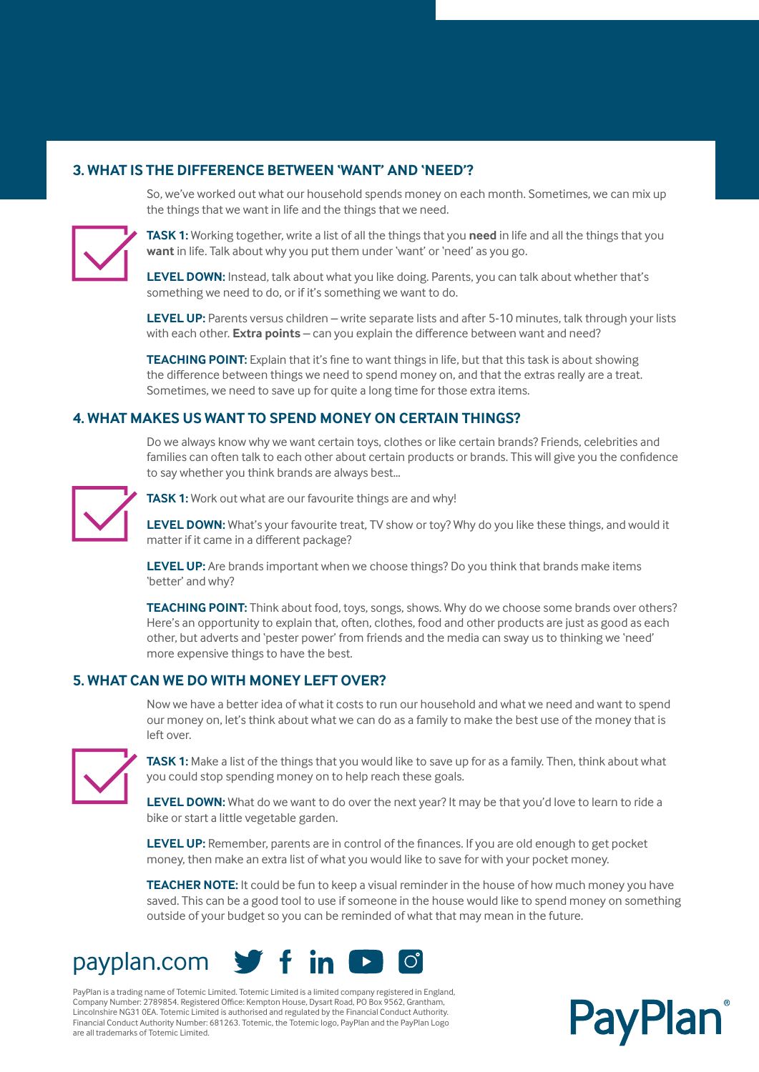#### **3. WHAT IS THE DIFFERENCE BETWEEN 'WANT' AND 'NEED'?**

So, we've worked out what our household spends money on each month. Sometimes, we can mix up the things that we want in life and the things that we need.



**TASK 1:** Working together, write a list of all the things that you **need** in life and all the things that you **want** in life. Talk about why you put them under 'want' or 'need' as you go.

**LEVEL DOWN:** Instead, talk about what you like doing. Parents, you can talk about whether that's something we need to do, or if it's something we want to do.

**LEVEL UP:** Parents versus children – write separate lists and after 5-10 minutes, talk through your lists with each other. **Extra points** – can you explain the difference between want and need?

**TEACHING POINT:** Explain that it's fine to want things in life, but that this task is about showing the difference between things we need to spend money on, and that the extras really are a treat. Sometimes, we need to save up for quite a long time for those extra items.

#### **4. WHAT MAKES US WANT TO SPEND MONEY ON CERTAIN THINGS?**

Do we always know why we want certain toys, clothes or like certain brands? Friends, celebrities and families can often talk to each other about certain products or brands. This will give you the confidence to say whether you think brands are always best…



**TASK 1:** Work out what are our favourite things are and why!

**LEVEL DOWN:** What's your favourite treat, TV show or toy? Why do you like these things, and would it matter if it came in a different package?

**LEVEL UP:** Are brands important when we choose things? Do you think that brands make items 'better' and why?

**TEACHING POINT:** Think about food, toys, songs, shows. Why do we choose some brands over others? Here's an opportunity to explain that, often, clothes, food and other products are just as good as each other, but adverts and 'pester power' from friends and the media can sway us to thinking we 'need' more expensive things to have the best.

#### **5. WHAT CAN WE DO WITH MONEY LEFT OVER?**

Now we have a better idea of what it costs to run our household and what we need and want to spend our money on, let's think about what we can do as a family to make the best use of the money that is left over.



**TASK 1:** Make a list of the things that you would like to save up for as a family. Then, think about what you could stop spending money on to help reach these goals.

LEVEL DOWN: What do we want to do over the next year? It may be that you'd love to learn to ride a bike or start a little vegetable garden.

**LEVEL UP:** Remember, parents are in control of the finances. If you are old enough to get pocket money, then make an extra list of what you would like to save for with your pocket money.

**TEACHER NOTE:** It could be fun to keep a visual reminder in the house of how much money you have saved. This can be a good tool to use if someone in the house would like to spend money on something outside of your budget so you can be reminded of what that may mean in the future.

**PayPlan** 



PayPlan is a trading name of Totemic Limited. Totemic Limited is a limited company registered in England, Company Number: 2789854. Registered Office: Kempton House, Dysart Road, PO Box 9562, Grantham, Lincolnshire NG31 0EA. Totemic Limited is authorised and regulated by the Financial Conduct Authority. Financial Conduct Authority Number: 681263. Totemic, the Totemic logo, PayPlan and the PayPlan Logo are all trademarks of Totemic Limited.